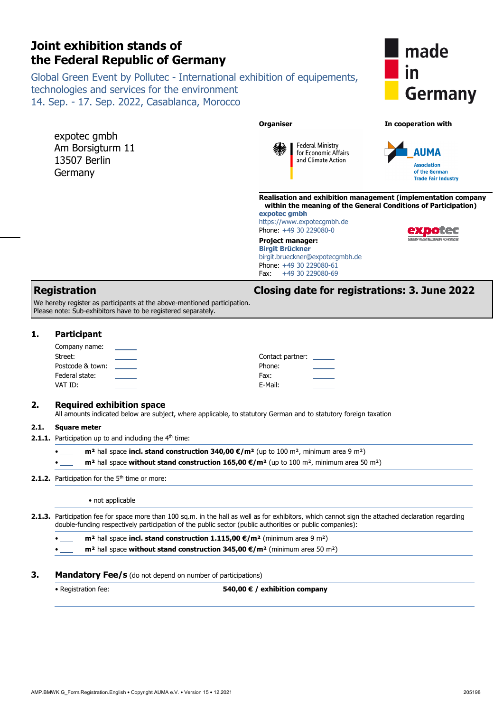|      | AIII DUISIYUUIII II<br>13507 Berlin<br>Germany                                                                                                                                         | $\mathscr{U}$<br><b>AUMA</b><br>for Economic Affairs<br>and Climate Action<br><b>Association</b><br>of the German<br><b>Trade Fair Industry</b><br>Realisation and exhibition management (implementation compa                                            |  |  |
|------|----------------------------------------------------------------------------------------------------------------------------------------------------------------------------------------|-----------------------------------------------------------------------------------------------------------------------------------------------------------------------------------------------------------------------------------------------------------|--|--|
|      |                                                                                                                                                                                        | within the meaning of the General Conditions of Participation<br>expotec qmbh<br>https://www.expotecgmbh.de<br>Phone: +49 30 229080-0<br>930063                                                                                                           |  |  |
|      |                                                                                                                                                                                        | <b>Project manager:</b><br><b>Birgit Brückner</b><br>birgit.brueckner@expotecgmbh.de<br>Phone: +49 30 229080-61<br>+49 30 229080-69<br>Fax:                                                                                                               |  |  |
| 1.   | <b>Registration</b><br>We hereby register as participants at the above-mentioned participation.<br>Please note: Sub-exhibitors have to be registered separately.<br><b>Participant</b> | <b>Closing date for registrations: 3. June 2022</b>                                                                                                                                                                                                       |  |  |
|      | Company name:<br>Street:<br>준<br>Postcode & town:<br>Federal state:<br>VAT ID:                                                                                                         | Contact partner: ___<br>Phone:<br>Fax:<br>E-Mail:                                                                                                                                                                                                         |  |  |
| 2.   | <b>Required exhibition space</b>                                                                                                                                                       | All amounts indicated below are subject, where applicable, to statutory German and to statutory foreign taxation                                                                                                                                          |  |  |
| 2.1. | <b>Square meter</b><br><b>2.1.1.</b> Participation up to and including the $4th$ time:                                                                                                 |                                                                                                                                                                                                                                                           |  |  |
|      |                                                                                                                                                                                        | $m2$ hall space incl. stand construction 340,00 $\epsilon/m2$ (up to 100 m <sup>2</sup> , minimum area 9 m <sup>2</sup> )<br>$m2$ hall space without stand construction 165,00 $\epsilon/m2$ (up to 100 m <sup>2</sup> , minimum area 50 m <sup>2</sup> ) |  |  |

technologies and services for the environment 14. Sep. - 17. Sep. 2022, Casablanca, Morocco

Global Green Event by Pollutec - International exhibition of equipements,

expotec gmbh Am Borsigturm 11

# **Germany**

made

#### **Organiser In cooperation with**

<u>in</u>



**Realisation and exhibition management (implementation company General Conditions of Participation)** 

**KIA** | Federal Ministry

# **2.1.2.** Participation for the 5<sup>th</sup> time or more:

**2.1. 2.1.1.** 

• not applicable

**2.1.3.** Participation fee for space more than 100 sq.m. in the hall as well as for exhibitors, which cannot sign the attached declaration regarding double-funding respectively participation of the public sector (public authorities or public companies):

• **m²** hall space **incl. stand construction 1.115,00 €/m²** (minimum area 9 m²)

• **m²** hall space **without stand construction 345,00 €/m²** (minimum area 50 m²)

#### **3.** Mandatory Fee/s (do not depend on number of participations)

• Registration fee: **540,00 € / exhibition company**

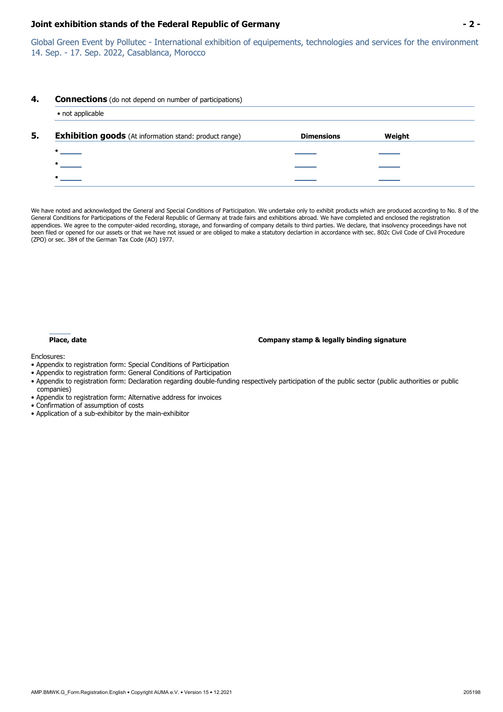Global Green Event by Pollutec - International exhibition of equipements, technologies and services for the environment 14. Sep. - 17. Sep. 2022, Casablanca, Morocco

#### **4. Connections** (do not depend on number of participations)

| <b>Dimensions</b> | Weight |
|-------------------|--------|
|                   |        |
|                   |        |
|                   |        |
|                   |        |
|                   |        |
|                   |        |

We have noted and acknowledged the General and Special Conditions of Participation. We undertake only to exhibit products which are produced according to No. 8 of the General Conditions for Participations of the Federal Republic of Germany at trade fairs and exhibitions abroad. We have completed and enclosed the registration appendices. We agree to the computer-aided recording, storage, and forwarding of company details to third parties. We declare, that insolvency proceedings have not been filed or opened for our assets or that we have not issued or are obliged to make a statutory declartion in accordance with sec. 802c Civil Code of Civil Procedure (ZPO) or sec. 384 of the German Tax Code (AO) 1977.

#### **Place, date Company stamp & legally binding signature**

Enclosures:

- Appendix to registration form: Special Conditions of Participation
- Appendix to registration form: General Conditions of Participation
- Appendix to registration form: Declaration regarding double-funding respectively participation of the public sector (public authorities or public companies)
- Appendix to registration form: Alternative address for invoices
- Confirmation of assumption of costs
- Application of a sub-exhibitor by the main-exhibitor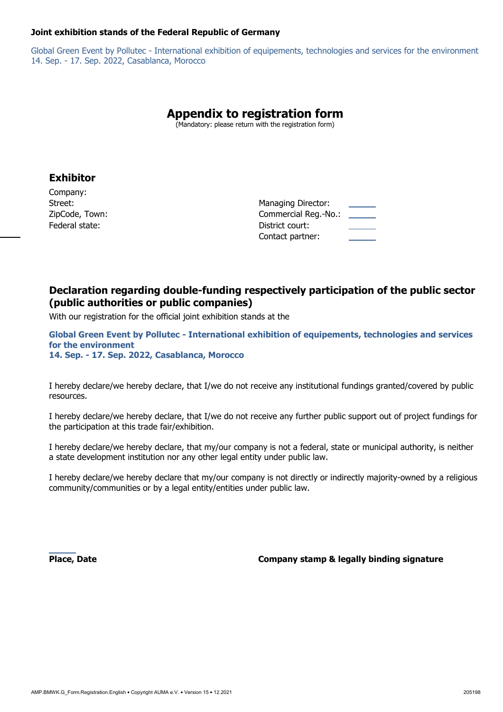Global Green Event by Pollutec - International exhibition of equipements, technologies and services for the environment 14. Sep. - 17. Sep. 2022, Casablanca, Morocco

# **Appendix to registration form**

(Mandatory: please return with the registration form)

#### **Exhibitor**

Company: ZipCode, Town: Federal state:

| Street:        | Managing Director:   |  |
|----------------|----------------------|--|
| ZipCode, Town: | Commercial Reg.-No.: |  |
| Federal state: | District court:      |  |
|                | Contact partner:     |  |

### **Declaration regarding double-funding respectively participation of the public sector (public authorities or public companies)**

With our registration for the official joint exhibition stands at the

**Global Green Event by Pollutec - International exhibition of equipements, technologies and services for the environment 14. Sep. - 17. Sep. 2022, Casablanca, Morocco** 

I hereby declare/we hereby declare, that I/we do not receive any institutional fundings granted/covered by public resources.

I hereby declare/we hereby declare, that I/we do not receive any further public support out of project fundings for the participation at this trade fair/exhibition.

I hereby declare/we hereby declare, that my/our company is not a federal, state or municipal authority, is neither a state development institution nor any other legal entity under public law.

I hereby declare/we hereby declare that my/our company is not directly or indirectly majority-owned by a religious community/communities or by a legal entity/entities under public law.

**Place, Date Company stamp & legally binding signature**  $\blacksquare$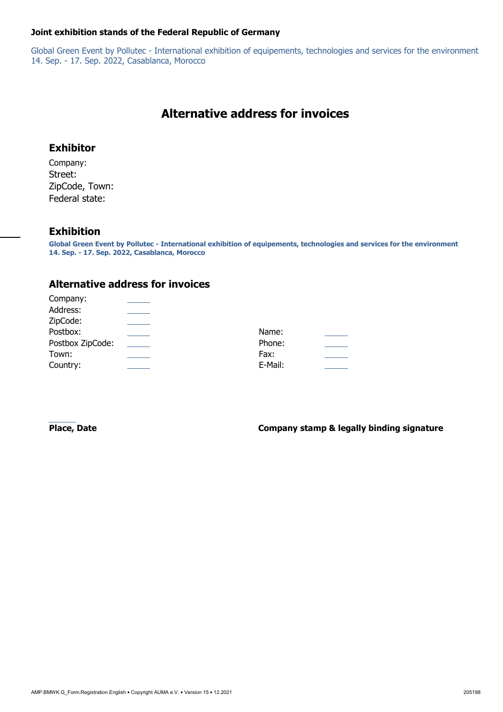Global Green Event by Pollutec - International exhibition of equipements, technologies and services for the environment 14. Sep. - 17. Sep. 2022, Casablanca, Morocco

# **Alternative address for invoices**

### **Exhibitor**

Company: Street: ZipCode, Town: Federal state:

#### **Exhibition**

**Global Green Event by Pollutec - International exhibition of equipements, technologies and services for the environment 14. Sep. - 17. Sep. 2022, Casablanca, Morocco** 

### **Alternative address for invoices**

| Name:   |  |
|---------|--|
| Phone:  |  |
| Fax:    |  |
| E-Mail: |  |
|         |  |

**Place, Date Company stamp & legally binding signature**  $\blacksquare$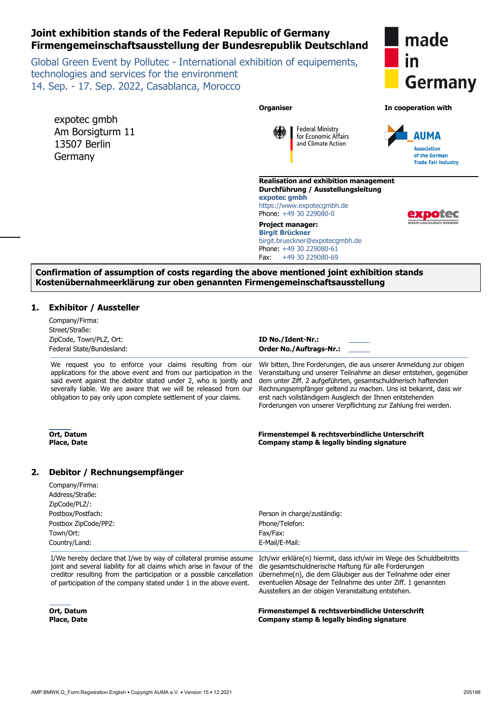### **Joint exhibition stands of the Federal Republic of Germany Firmengemeinschaftsausstellung der Bundesrepublik Deutschland**

Global Green Event by Pollutec - International exhibition of equipements, technologies and services for the environment 14. Sep. - 17. Sep. 2022, Casablanca, Morocco

| made         |
|--------------|
| $\mathsf{I}$ |
| Germany      |

| <b>Germal</b>       |
|---------------------|
| In cooperation with |
| <b>AUMA</b>         |



**Federal Ministry** 

#### **Confirmation of assumption of costs regarding the above mentioned joint exhibition stands Kostenübernahmeerklärung zur oben genannten Firmengemeinschaftsausstellung**

**Organiser** 

#### **1. Exhibitor / Aussteller**

expotec gmbh Am Borsigturm 11 13507 Berlin Germany

|    | Company/Firma:<br>Street/Straße:<br>ZipCode, Town/PLZ, Ort:<br>Federal State/Bundesland:                                                                                                                                                                                                                                                   | ID No./Ident-Nr.:<br><b>Order No./Auftrags-Nr.:</b>                                                                                                                                                                                                                                                                                                                                                        |
|----|--------------------------------------------------------------------------------------------------------------------------------------------------------------------------------------------------------------------------------------------------------------------------------------------------------------------------------------------|------------------------------------------------------------------------------------------------------------------------------------------------------------------------------------------------------------------------------------------------------------------------------------------------------------------------------------------------------------------------------------------------------------|
|    | We request you to enforce your claims resulting from our<br>applications for the above event and from our participation in the<br>said event against the debitor stated under 2, who is jointly and<br>severally liable. We are aware that we will be released from our<br>obligation to pay only upon complete settlement of your claims. | Wir bitten, Ihre Forderungen, die aus unserer Anmeldung zur obigen<br>Veranstaltung und unserer Teilnahme an dieser entstehen, gegenüber<br>dem unter Ziff. 2 aufgeführten, gesamtschuldnerisch haftenden<br>Rechnungsempfänger geltend zu machen. Uns ist bekannt, dass wir<br>erst nach vollständigem Ausgleich der Ihnen entstehenden<br>Forderungen von unserer Verpflichtung zur Zahlung frei werden. |
|    | Ort, Datum<br><b>Place, Date</b>                                                                                                                                                                                                                                                                                                           | Firmenstempel & rechtsverbindliche Unterschrift<br>Company stamp & legally binding signature                                                                                                                                                                                                                                                                                                               |
| 2. | Debitor / Rechnungsempfänger                                                                                                                                                                                                                                                                                                               |                                                                                                                                                                                                                                                                                                                                                                                                            |
|    | Company/Firma:                                                                                                                                                                                                                                                                                                                             |                                                                                                                                                                                                                                                                                                                                                                                                            |
|    | Address/Straße:                                                                                                                                                                                                                                                                                                                            |                                                                                                                                                                                                                                                                                                                                                                                                            |
|    | ZipCode/PLZ/:                                                                                                                                                                                                                                                                                                                              |                                                                                                                                                                                                                                                                                                                                                                                                            |
|    | Postbox/Postfach:                                                                                                                                                                                                                                                                                                                          | Person in charge/zuständig:                                                                                                                                                                                                                                                                                                                                                                                |
|    | Postbox ZipCode/PPZ:                                                                                                                                                                                                                                                                                                                       | Phone/Telefon:                                                                                                                                                                                                                                                                                                                                                                                             |
|    | Town/Ort:<br>Country/Land:                                                                                                                                                                                                                                                                                                                 | Fax/Fax:<br>E-Mail/E-Mail:                                                                                                                                                                                                                                                                                                                                                                                 |
|    |                                                                                                                                                                                                                                                                                                                                            |                                                                                                                                                                                                                                                                                                                                                                                                            |
|    | I/We hereby declare that I/we by way of collateral promise assume<br>joint and several liability for all claims which arise in favour of the<br>creditor resulting from the participation or a possible cancellation<br>of participation of the company stated under 1 in the above event.                                                 | Ich/wir erkläre(n) hiermit, dass ich/wir im Wege des Schuldbeitritts<br>die gesamtschuldnerische Haftung für alle Forderungen<br>übernehme(n), die dem Gläubiger aus der Teilnahme oder einer<br>eventuellen Absage der Teilnahme des unter Ziff. 1 genannten<br>Ausstellers an der obigen Veranstaltung entstehen.                                                                                        |
|    | Ort, Datum<br><b>Place, Date</b>                                                                                                                                                                                                                                                                                                           | Firmenstempel & rechtsverbindliche Unterschrift<br>Company stamp & legally binding signature                                                                                                                                                                                                                                                                                                               |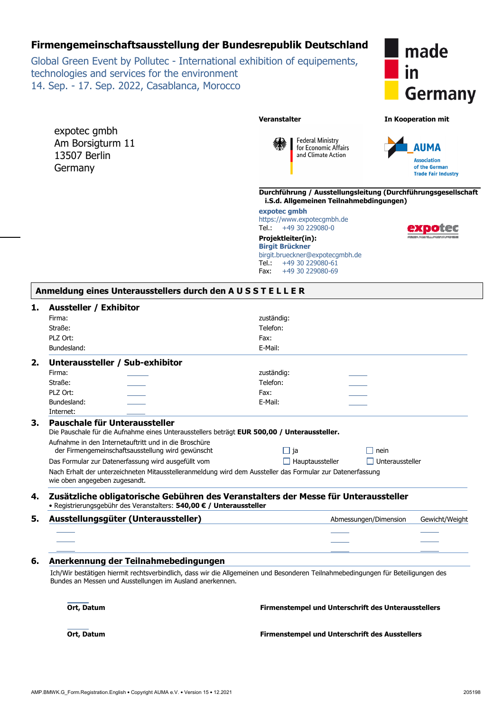### **Firmengemeinschaftsausstellung der Bundesrepublik Deutschland**

Global Green Event by Pollutec - International exhibition of equipements, technologies and services for the environment 14. Sep. - 17. Sep. 2022, Casablanca, Morocco

expotec gmbh Am Borsigturm 11 13507 Berlin **Germany** 



**Veranstalter In Kooperation mit** 





**Durchführung / Ausstellungsleitung (Durchführungsgesellschaft i.S.d. Allgemeinen Teilnahmebdingungen)** 

**expotec gmbh**  https://www.expotecgmbh.de<br>
Tel.:  $+49\,30\,229080-0$  $+49$  30 229080-0

**Projektleiter(in): Birgit Brückner** birgit.brueckner@expotecgmbh.de Tel.: +49 30 229080-61 Fax: +49 30 229080-69

| NISEN KONISKE |  |
|---------------|--|

#### **1. Aussteller / Exhibitor**

| טטושוט ו באוווטונט<br>Firma:  |                                                                                                                                                                                               | zuständig:                                                                                                 |                       |                |  |
|-------------------------------|-----------------------------------------------------------------------------------------------------------------------------------------------------------------------------------------------|------------------------------------------------------------------------------------------------------------|-----------------------|----------------|--|
| Straße:                       |                                                                                                                                                                                               | Telefon:                                                                                                   |                       |                |  |
| PLZ Ort:                      |                                                                                                                                                                                               | Fax:                                                                                                       |                       |                |  |
| Bundesland:                   |                                                                                                                                                                                               | E-Mail:                                                                                                    |                       |                |  |
|                               | Unteraussteller / Sub-exhibitor                                                                                                                                                               |                                                                                                            |                       |                |  |
| Firma:                        |                                                                                                                                                                                               | zuständig:                                                                                                 |                       |                |  |
| Straße:                       |                                                                                                                                                                                               | Telefon:                                                                                                   |                       |                |  |
| PLZ Ort:                      |                                                                                                                                                                                               | Fax:                                                                                                       |                       |                |  |
| Bundesland:                   |                                                                                                                                                                                               | E-Mail:                                                                                                    |                       |                |  |
| Internet:                     |                                                                                                                                                                                               |                                                                                                            |                       |                |  |
|                               | Pauschale für Unteraussteller                                                                                                                                                                 |                                                                                                            |                       |                |  |
|                               |                                                                                                                                                                                               | Die Pauschale für die Aufnahme eines Unterausstellers beträgt EUR 500,00 / Unteraussteller.                |                       |                |  |
|                               | Aufnahme in den Internetauftritt und in die Broschüre<br>der Firmengemeinschaftsausstellung wird gewünscht                                                                                    | $\Box$ ja                                                                                                  | nein<br>- 1           |                |  |
|                               | Das Formular zur Datenerfassung wird ausgefüllt vom                                                                                                                                           | $\Box$ Hauptaussteller                                                                                     | Unteraussteller       |                |  |
| wie oben angegeben zugesandt. |                                                                                                                                                                                               | Nach Erhalt der unterzeichneten Mitausstelleranmeldung wird dem Aussteller das Formular zur Datenerfassung |                       |                |  |
|                               | • Registrierungsgebühr des Veranstalters: 540,00 € / Unteraussteller                                                                                                                          | Zusätzliche obligatorische Gebühren des Veranstalters der Messe für Unteraussteller                        |                       |                |  |
|                               | Ausstellungsgüter (Unteraussteller)                                                                                                                                                           |                                                                                                            | Abmessungen/Dimension | Gewicht/Weight |  |
|                               |                                                                                                                                                                                               |                                                                                                            |                       |                |  |
|                               |                                                                                                                                                                                               |                                                                                                            |                       |                |  |
|                               |                                                                                                                                                                                               |                                                                                                            |                       |                |  |
|                               | Anerkennung der Teilnahmebedingungen                                                                                                                                                          |                                                                                                            |                       |                |  |
|                               | Ich/Wir bestätigen hiermit rechtsverbindlich, dass wir die Allgemeinen und Besonderen Teilnahmebedingungen für Beteiligungen des<br>Bundes an Messen und Ausstellungen im Ausland anerkennen. |                                                                                                            |                       |                |  |
| Ort, Datum                    |                                                                                                                                                                                               | Firmenstempel und Unterschrift des Unterausstellers                                                        |                       |                |  |
| Ort, Datum                    |                                                                                                                                                                                               | <b>Firmenstempel und Unterschrift des Ausstellers</b>                                                      |                       |                |  |